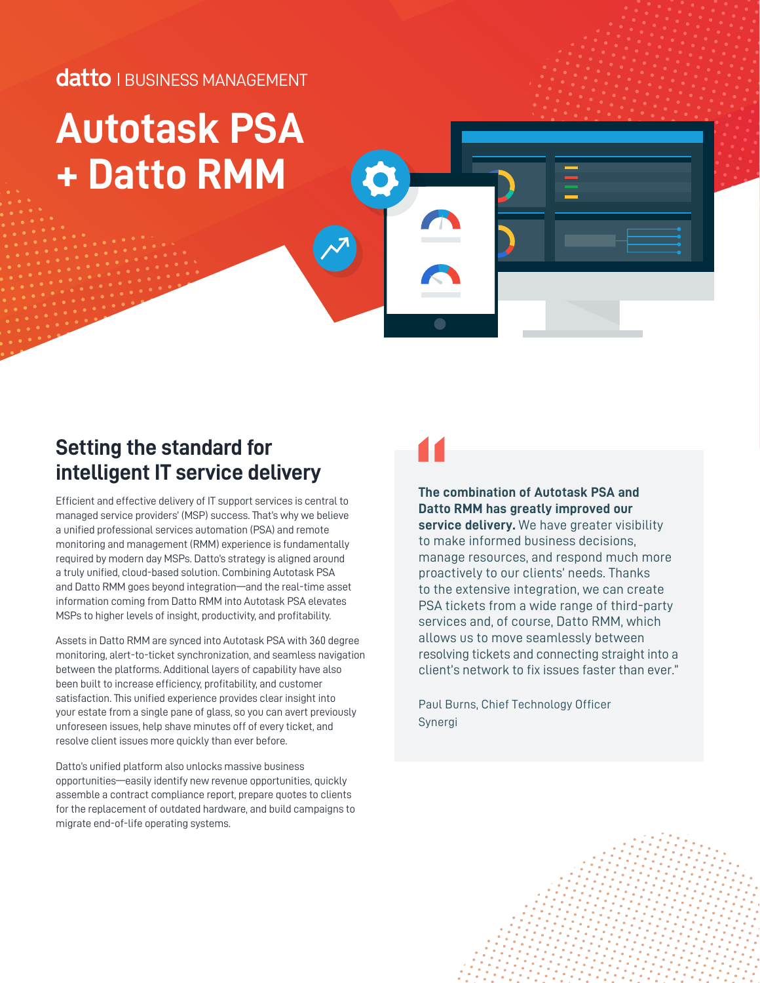# **datto** I BUSINESS MANAGEMENT

# **Autotask PSA + Datto RMM**

# **Setting the standard for intelligent IT service delivery**

Efficient and effective delivery of IT support services is central to managed service providers' (MSP) success. That's why we believe a unified professional services automation (PSA) and remote monitoring and management (RMM) experience is fundamentally required by modern day MSPs. Datto's strategy is aligned around a truly unified, cloud-based solution. Combining Autotask PSA and Datto RMM goes beyond integration—and the real-time asset information coming from Datto RMM into Autotask PSA elevates MSPs to higher levels of insight, productivity, and profitability.

Assets in Datto RMM are synced into Autotask PSA with 360 degree monitoring, alert-to-ticket synchronization, and seamless navigation between the platforms. Additional layers of capability have also been built to increase efficiency, profitability, and customer satisfaction. This unified experience provides clear insight into your estate from a single pane of glass, so you can avert previously unforeseen issues, help shave minutes off of every ticket, and resolve client issues more quickly than ever before.

Datto's unified platform also unlocks massive business opportunities—easily identify new revenue opportunities, quickly assemble a contract compliance report, prepare quotes to clients for the replacement of outdated hardware, and build campaigns to migrate end-of-life operating systems.

**The combination of Autotask PSA and Datto RMM has greatly improved our service delivery.** We have greater visibility to make informed business decisions, manage resources, and respond much more proactively to our clients' needs. Thanks to the extensive integration, we can create PSA tickets from a wide range of third-party services and, of course, Datto RMM, which allows us to move seamlessly between resolving tickets and connecting straight into a client's network to fix issues faster than ever."

Paul Burns, Chief Technology Officer Synergi